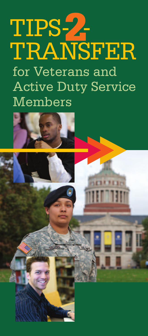# TIPS-**2**- TRANSFER for Veterans and Active Duty Service Members

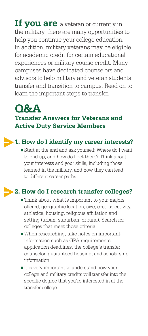**If you are** <sup>a</sup> veteran or currently in the military, there are many opportunities to help you continue your college education. In addition, military veterans may be eligible for academic credit for certain educational experiences or military course credit. Many campuses have dedicated counselors and advisors to help military and veteran students transfer and transition to campus. Read on to learn the important steps to transfer.

## **Q&A Transfer Answers for Veterans and Active Duty Service Members**

## **1. How do I identify my career interests?**

**-** Start at the end and ask yourself: Where do I want to end up, and how do I get there? Think about your interests and your skills, including those learned in the military, and how they can lead to different career paths.

## **2. How do I research transfer colleges?**

- **-** Think about what is important to you: majors offered, geographic location, size, cost, selectivity, athletics, housing, religious affiliation and setting (urban, suburban, or rural). Search for colleges that meet those criteria.
- **-** When researching, take notes on important information such as GPA requirements. application deadlines, the college's transfer counselor, guaranteed housing, and scholarship information.
- **-** It is very important to understand how your college and military credits will transfer into the specific degree that you're interested in at the transfer college.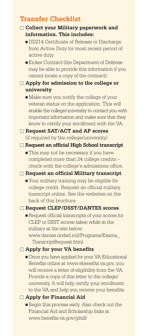## **Transfer Checklist**

#### **Collect your Military paperwork and information. This includes:**

- **-** DD214 Certificate of Release or Discharge from Active Duty for most recent period of active duty.
- **-** Kicker Contract (the Department of Defense may be able to provide this information if you cannot locate a copy of the contract).
- **Apply for admission to the college or university**
	- **-** Make sure you notify the college of your veteran status on the application. This will enable the college/university to contact you with important information and make sure that they know to certify your enrollment with the VA.

#### **Request SAT/ACT and AP scores** (if required by the college/university)

#### **Request an official High School transcript**

**-** This may not be necessary if you have completed more than 24 college credits – check with the college's admissions office.

#### **Request an official Military transcript**

**-** Your military training may be eligible for college credit. Request an official military transcript online. See the websites on the back of this brochure.

#### **Request CLEP/DSST/DANTES scores**

**-** Request official transcripts of your scores for CLEP or DSST scores *taken while in* the military at the site below: www.dantes.doded.mil/Programs/Exams\_ TranscriptRequest.html

#### **Apply for your VA benefits**

**-** Once you have applied for your VA Educational Benefits online at www.ebenefits.va.gov, you will receive a letter of eligibility from the VA. Provide a copy of this letter to the college/ university. It will help certify your enrollment to the VA and help you receive your benefits.

#### **Apply for Financial Aid**

**-** Begin this process early. Also check out the Financial Aid and Scholarship links at www.benefits.va.gov/gibill/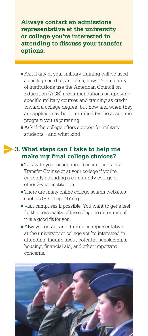**Always contact an admissions representative at the university or college you're interested in attending to discuss your transfer options.**

- **-** Ask if any of your military training will be used as college credits, and if so, how. The majority of institutions use the American Council on Education (ACE) recommendations on applying specific military courses and training as credit toward a college degree, but how and when they are applied may be determined by the academic program you're pursuing.
- **-** Ask if the college offers support for military students – and what kind.

## **3. What steps can I take to help me make my final college choices?**

- **-** Talk with your academic advisor or contact a Transfer Counselor at your college if you're currently attending a community college or other 2-year institution.
- **-** There are many online college search websites such as GoCollegeNY.org.
- **-** Visit campuses if possible. You want to get a feel for the personality of the college to determine if it is a good fit for you.
- **-** Always contact an admissions representative at the university or college you're interested in attending. Inquire about potential scholarships, housing, financial aid, and other important concerns.

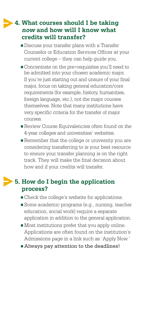## **4. What courses should I be taking now and how will I know what credits will transfer?**

- **-** Discuss your transfer plans with a Transfer Counselor or Education Services Officer at your current college – they can help guide you.
- **-** Concentrate on the pre-requisites you'll need to be admitted into your chosen academic major. If you're just starting out and unsure of your final major, focus on taking general education/core requirements (for example, history, humanities, foreign language, etc.), not the major courses themselves. Note that many institutions have very specific criteria for the transfer of major courses.
- **-** Review Course Equivalencies often found on the 4-year colleges and universities' websites.
- **-** Remember that the college or university you are considering transferring to is your best resource to ensure your transfer planning is on the right track. They will make the final decision about how and if your credits will transfer.

## **5. How do I begin the application process?**

- **-** Check the college's website for applications.
- **-** Some academic programs (e.g., nursing, teacher education, social work) require a separate application in addition to the general application.
- **-** Most institutions prefer that you apply online. Applications are often found on the institution's Admissions page in a link such as 'Apply Now.'
- **-** Always pay attention to the deadlines!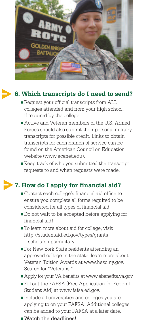

## **6. Which transcripts do I need to send?**

- **-** Request your official transcripts from ALL colleges attended and from your high school, if required by the college.
- **-** Active and Veteran members of the U.S. Armed Forces should also submit their personal military transcripts for possible credit. Links to obtain transcripts for each branch of service can be found on the American Council on Education website (www.acenet.edu).
- **-** Keep track of who you submitted the transcript requests to and when requests were made.

## **7. How do I apply for financial aid?**

- **-** Contact each college's financial aid office to ensure you complete all forms required to be considered for all types of financial aid.
- **-** Do not wait to be accepted before applying for financial aid!
- **-** To learn more about aid for college, visit http://studentaid.ed.gov/types/grantsscholarships/military
- **-** For New York State residents attending an approved college in the state, learn more about Veteran Tuition Awards at www.hesc.ny.gov. Search for "Veterans."
- **-** Apply for your VA benefits at www.ebenefits.va.gov
- **-** Fill out the FAFSA (Free Application for Federal Student Aid) at www.fafsa.ed.gov.
- **-** Include all universities and colleges you are applying to on your FAFSA. Additional colleges can be added to your FAFSA at a later date.
- **-** Watch the deadlines!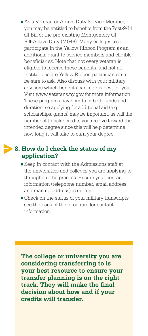**-** As a Veteran or Active Duty Service Member, you may be entitled to benefits from the Post-9/11 GI Bill or the pre-existing Montgomery GI Bill-Active Duty (MGIB). Many colleges also participate in the Yellow Ribbon Program as an additional grant to service members and eligible beneficiaries. Note that not every veteran is eligible to receive these benefits, and not all institutions are Yellow Ribbon participants, so be sure to ask. Also discuss with your military advisors which benefits package is best for you. Visit www.veterans.ny.gov for more information. These programs have limits in both funds and duration, so applying for additional aid (e.g., scholarships, grants) may be important, as will the number of transfer credits you receive toward the intended degree since this will help determine how long it will take to earn your degree.

## **8. How do I check the status of my application?**

- **-** Keep in contact with the Admissions staff at the universities and colleges you are applying to throughout the process. Ensure your contact information (telephone number, email address, and mailing address) is current.
- **-** Check on the status of your military transcripts see the back of this brochure for contact information.

**The college or university you are considering transferring to is your best resource to ensure your transfer planning is on the right track. They will make the final decision about how and if your credits will transfer.**